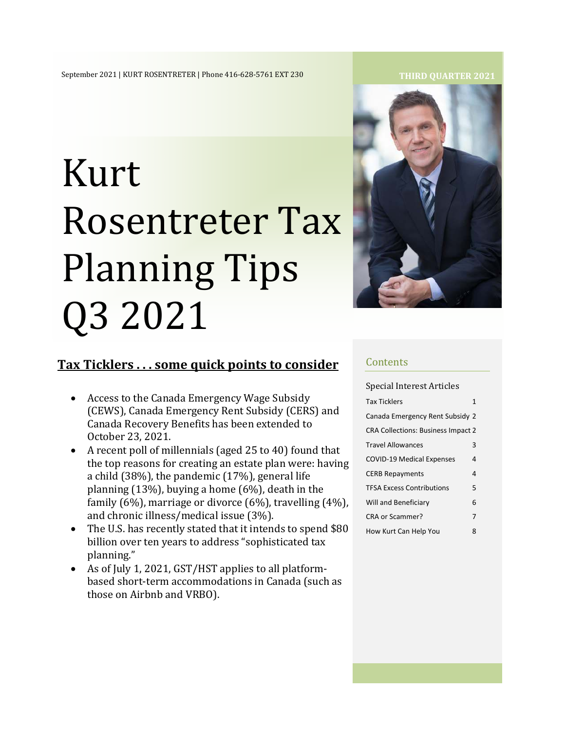# Kurt Rosentreter Tax Planning Tips Q3 2021



## **Tax Ticklers . . . some quick points to consider**

- Access to the Canada Emergency Wage Subsidy (CEWS), Canada Emergency Rent Subsidy (CERS) and Canada Recovery Benefits has been extended to October 23, 2021.
- A recent poll of millennials (aged 25 to 40) found that the top reasons for creating an estate plan were: having a child (38%), the pandemic (17%), general life planning (13%), buying a home (6%), death in the family (6%), marriage or divorce (6%), travelling (4%), and chronic illness/medical issue (3%).
- The U.S. has recently stated that it intends to spend \$80 billion over ten years to address "sophisticated tax planning."
- As of July 1, 2021, GST/HST applies to all platformbased short-term accommodations in Canada (such as those on Airbnb and VRBO).

#### **Contents**

| Special Interest Articles                 |   |
|-------------------------------------------|---|
| <b>Tax Ticklers</b>                       | 1 |
| Canada Emergency Rent Subsidy 2           |   |
| <b>CRA Collections: Business Impact 2</b> |   |
| <b>Travel Allowances</b>                  | 3 |
| <b>COVID-19 Medical Expenses</b>          | 4 |
| <b>CERB Repayments</b>                    | 4 |
| <b>TFSA Excess Contributions</b>          | 5 |
| Will and Beneficiary                      | 6 |
| CRA or Scammer?                           | 7 |
| How Kurt Can Help You                     | 8 |

#### **THIRD QUARTER 2021**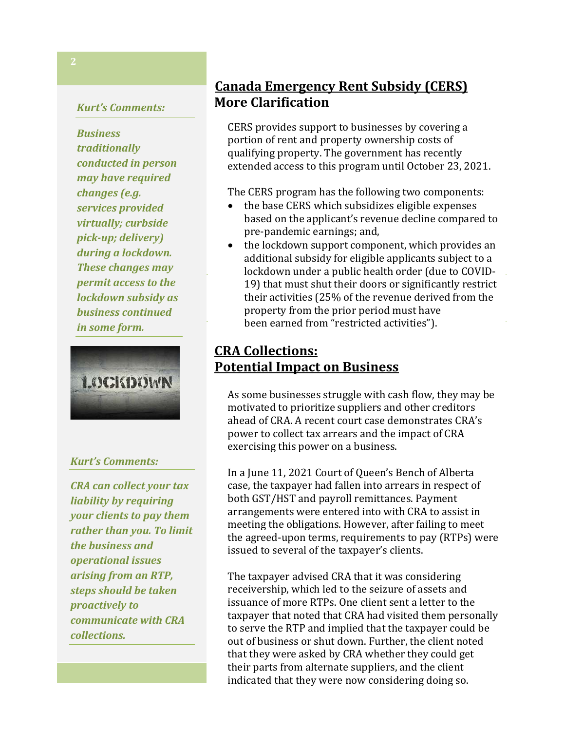#### *Kurt's Comments:*

*Business traditionally conducted in person may have required changes (e.g. services provided virtually; curbside pick-up; delivery) during a lockdown. These changes may permit access to the lockdown subsidy as business continued in some form.* 



#### *Kurt's Comments:*

*CRA can collect your tax liability by requiring your clients to pay them rather than you. To limit the business and operational issues arising from an RTP, steps should be taken proactively to communicate with CRA collections.* 

# **Canada Emergency Rent Subsidy (CERS) More Clarification**

qualifying property. The government has recently extended access to this program until October 23, 2021. CERS provides support to businesses by covering a portion of rent and property ownership costs of

The CERS program has the following two components:

- based on the applicant's revenue decline compared to pre-pandemic earnings; and, • the base CERS which subsidizes eligible expenses
- the lockdown support component, which provides an lockdown under a public health order (due to COVID-19) that must shut their doors or significantly restrict their activities (25% of the revenue derived from the property from the prior period must have been earned from "restricted activities"). additional subsidy for eligible applicants subject to a

#### $T_{\text{st}}$   $\frac{1}{2}$   $\frac{1}{2}$   $\frac{1}{2}$   $\frac{1}{2}$   $\frac{1}{2}$   $\frac{1}{2}$   $\frac{1}{2}$   $\frac{1}{2}$   $\frac{1}{2}$   $\frac{1}{2}$   $\frac{1}{2}$   $\frac{1}{2}$   $\frac{1}{2}$   $\frac{1}{2}$   $\frac{1}{2}$   $\frac{1}{2}$   $\frac{1}{2}$   $\frac{1}{2}$   $\frac{1}{2}$   $\frac{1}{2}$   $\frac{1}{2}$  **Potential Impact on Business CRA Collections:**

parent (s) to work. A bona fide expense would not be expense would not be  $\mathcal{L}$ As some businesses struggle with cash flow, they may be motivated to prioritize suppliers and other creditors power to collect tax arrears and the impact of CRA exercising this power on a business. ahead of CRA. A recent court case demonstrates CRA's

noting that if Parliament had intended to limit such In a June 11, 2021 Court of Queen's Bench of Alberta case, the taxpayer had fallen into arrears in respect of both GST/HST and payroll remittances. Payment arrangements were entered into with CRA to assist in the agreed-upon terms, requirements to pay (RTPs) were issued to several of the taxpayer's clients. meeting the obligations. However, after failing to meet

 $\mathbf{u}$  is students, who were paid  $\mathbf{5}$  hour more than  $\mathbf{5}$ The taxpayer advised CRA that it was considering receivership, which led to the seizure of assets and issuance of more RTPs. One client sent a letter to the taxpayer that noted that CRA had visited them personally to serve the RTP and implied that the taxpayer could be out of business or shut down. Further, the client noted that they were asked by CRA whether they could get their parts from alternate suppliers, and the client indicated that they were now considering doing so.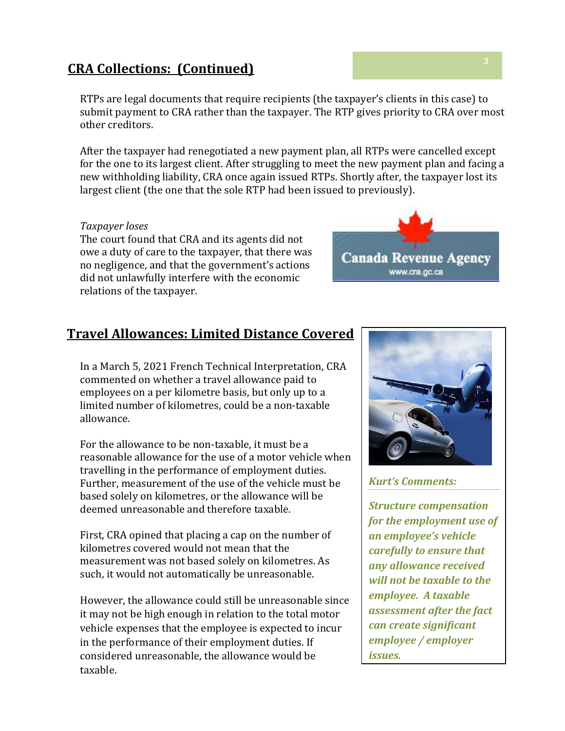## **CRA Collections: (Continued) <sup>3</sup>**

RTPs are legal documents that require recipients (the taxpayer's clients in this case) to submit payment to CRA rather than the taxpayer. The RTP gives priority to CRA over most other creditors.

After the taxpayer had renegotiated a new payment plan, all RTPs were cancelled except for the one to its largest client. After struggling to meet the new payment plan and facing a new withholding liability, CRA once again issued RTPs. Shortly after, the taxpayer lost its largest client (the one that the sole RTP had been issued to previously).

#### *Taxpayer loses*

The court found that CRA and its agents did not owe a duty of care to the taxpayer, that there was no negligence, and that the government's actions did not unlawfully interfere with the economic relations of the taxpayer.

# **Travel Allowances: Limited Distance Covered**

In a March 5, 2021 French Technical Interpretation, CRA commented on whether a travel allowance paid to employees on a per kilometre basis, but only up to a limited number of kilometres, could be a non-taxable allowance.

For the allowance to be non-taxable, it must be a reasonable allowance for the use of a motor vehicle when travelling in the performance of employment duties. Further, measurement of the use of the vehicle must be based solely on kilometres, or the allowance will be deemed unreasonable and therefore taxable.

First, CRA opined that placing a cap on the number of kilometres covered would not mean that the measurement was not based solely on kilometres. As such, it would not automatically be unreasonable.

However, the allowance could still be unreasonable since it may not be high enough in relation to the total motor vehicle expenses that the employee is expected to incur in the performance of their employment duties. If considered unreasonable, the allowance would be taxable.



#### *Kurt's Comments:*

*Structure compensation for the employment use of an employee's vehicle carefully to ensure that any allowance received will not be taxable to the employee. A taxable assessment after the fact can create significant employee / employer issues.*



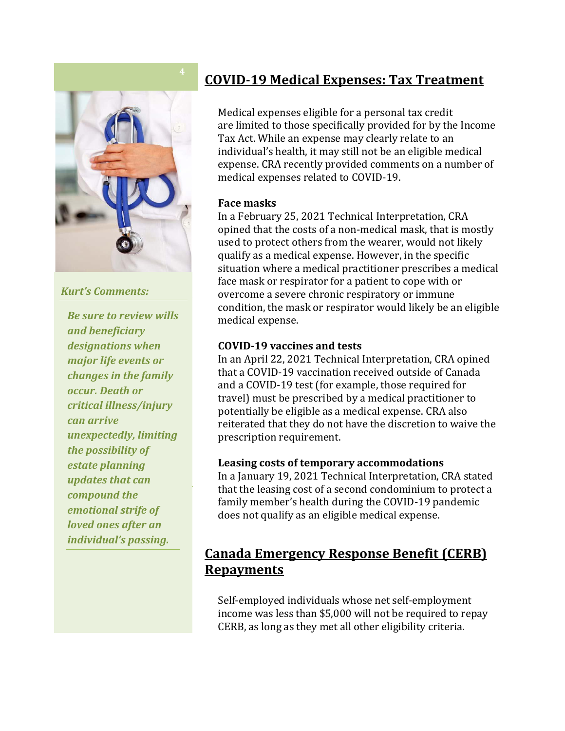

## *Kurt's Comments: Kurt's Comments:*

*Be sure to review wills beneficiary designations and beneficiary when major life events or designations when*  **major life events or** *changes in the family illness/injury can arrive occur. Death or unexpectedly, limiting the critical illness/injury possibility of estate can arrive <i>unexpectedly, limiting compound the emotional the possibility of strife of loved ones after an estate planning individual's passing. updates that can compound the emotional strife of loved ones after an individual's passing.*

# **COVID-19 Medical Expenses: Tax Treatment**

Medical expenses eligible for a personal tax credit are limited to those specifically provided for by the Income Tax Act. While an expense may clearly relate to an individual's health, it may still not be an eligible medical expense. CRA recently provided comments on a number of medical expenses related to COVID-19.

#### **Face masks**

In a February 25, 2021 Technical Interpretation, CRA opined that the costs of a non-medical mask, that is mostly used to protect others from the wearer, would not likely qualify as a medical expense. However, in the specific situation where a medical practitioner prescribes a medical face mask or respirator for a patient to cope with or overcome a severe chronic respiratory or immune condition, the mask or respirator would likely be an eligible medical expense.

#### **COVID-19 vaccines and tests**

In an April 22, 2021 Technical Interpretation, CRA opined that a COVID-19 vaccination received outside of Canada and a COVID-19 test (for example, those required for travel) must be prescribed by a medical practitioner to potentially be eligible as a medical expense. CRA also reiterated that they do not have the discretion to waive the prescription requirement.

#### **Leasing costs of temporary accommodations**

In a January 19, 2021 Technical Interpretation, CRA stated that the leasing cost of a second condominium to protect a family member's health during the COVID-19 pandemic does not qualify as an eligible medical expense.

## **Canada Emergency Response Benefit (CERB) Repayments**

Self-employed individuals whose net self-employment income was less than \$5,000 will not be required to repay CERB, as long as they met all other eligibility criteria.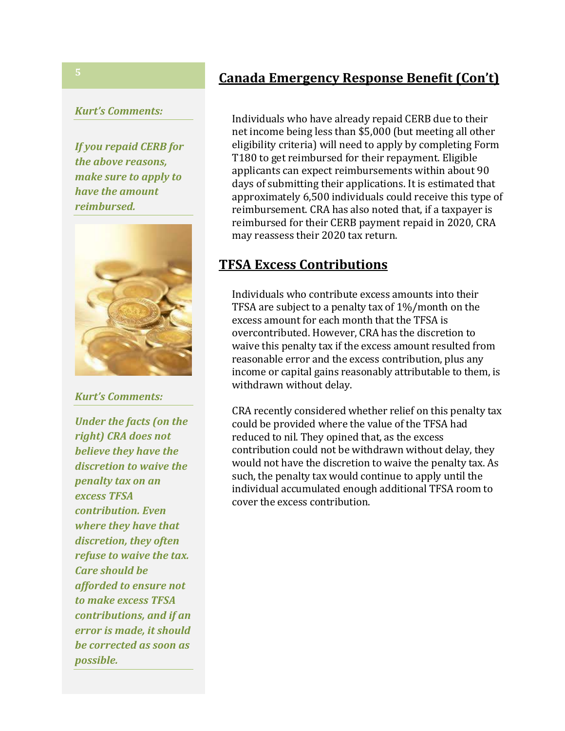#### *Kurt's Comments:*

*If you repaid CERB for the above reasons, make sure to apply to have the amount reimbursed.*



*Kurt's Comments:*

*Under the facts (on the right) CRA does not believe they have the discretion to waive the penalty tax on an excess TFSA contribution. Even where they have that discretion, they often refuse to waive the tax. Care should be afforded to ensure not to make excess TFSA contributions, and if an error is made, it should be corrected as soon as possible.*

## **Canada Emergency Response Benefit (Con't)**

Individuals who have already repaid CERB due to their net income being less than \$5,000 (but meeting all other eligibility criteria) will need to apply by completing Form T180 to get reimbursed for their repayment. Eligible applicants can expect reimbursements within about 90 days of submitting their applications. It is estimated that approximately 6,500 individuals could receive this type of reimbursement. CRA has also noted that, if a taxpayer is reimbursed for their CERB payment repaid in 2020, CRA may reassess their 2020 tax return.

## **TFSA Excess Contributions**

Individuals who contribute excess amounts into their TFSA are subject to a penalty tax of 1%/month on the excess amount for each month that the TFSA is overcontributed. However, CRA has the discretion to waive this penalty tax if the excess amount resulted from reasonable error and the excess contribution, plus any income or capital gains reasonably attributable to them, is withdrawn without delay.

CRA recently considered whether relief on this penalty tax could be provided where the value of the TFSA had reduced to nil. They opined that, as the excess contribution could not be withdrawn without delay, they would not have the discretion to waive the penalty tax. As such, the penalty tax would continue to apply until the individual accumulated enough additional TFSA room to cover the excess contribution.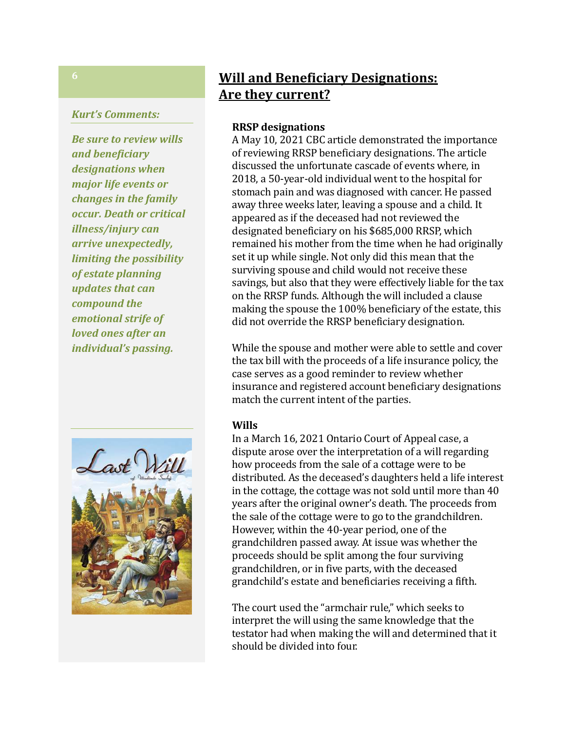#### *Kurt's Comments:*

*Be sure to review wills and beneficiary designations when major life events or changes in the family occur. Death or critical illness/injury can arrive unexpectedly, limiting the possibility of estate planning updates that can compound the emotional strife of loved ones after an individual's passing.*



## **Will and Beneficiary Designations: Are they current?**

#### **RRSP designations**

A May 10, 2021 CBC article demonstrated the importance of reviewing RRSP beneficiary designations. The article discussed the unfortunate cascade of events where, in 2018, a 50-year-old individual went to the hospital for stomach pain and was diagnosed with cancer. He passed away three weeks later, leaving a spouse and a child. It appeared as if the deceased had not reviewed the designated beneficiary on his \$685,000 RRSP, which remained his mother from the time when he had originally set it up while single. Not only did this mean that the surviving spouse and child would not receive these savings, but also that they were effectively liable for the tax on the RRSP funds. Although the will included a clause making the spouse the 100% beneficiary of the estate, this did not override the RRSP beneficiary designation.

While the spouse and mother were able to settle and cover the tax bill with the proceeds of a life insurance policy, the case serves as a good reminder to review whether insurance and registered account beneficiary designations match the current intent of the parties.

#### **Wills**

In a March 16, 2021 Ontario Court of Appeal case, a dispute arose over the interpretation of a will regarding how proceeds from the sale of a cottage were to be distributed. As the deceased's daughters held a life interest in the cottage, the cottage was not sold until more than 40 years after the original owner's death. The proceeds from the sale of the cottage were to go to the grandchildren. However, within the 40-year period, one of the grandchildren passed away. At issue was whether the proceeds should be split among the four surviving grandchildren, or in five parts, with the deceased grandchild's estate and beneficiaries receiving a fifth.

The court used the "armchair rule," which seeks to interpret the will using the same knowledge that the testator had when making the will and determined that it should be divided into four.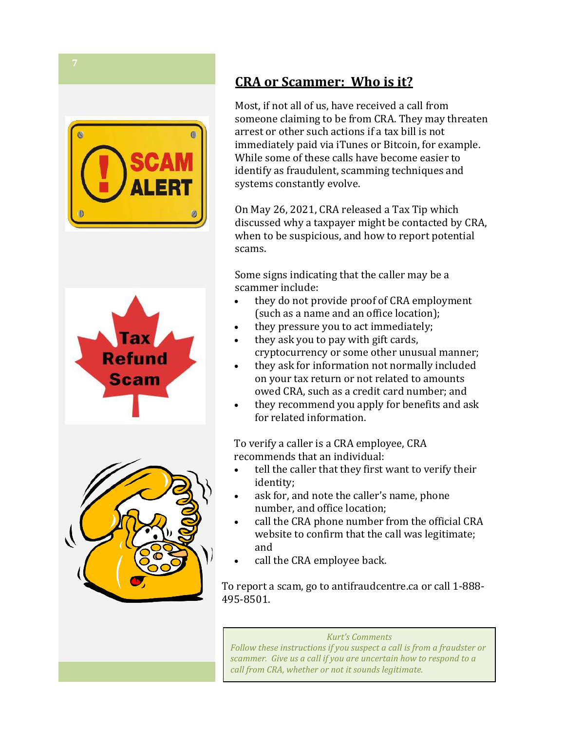





# **CRA or Scammer: Who is it?**

Most, if not all of us, have received a call from someone claiming to be from CRA. They may threaten arrest or other such actions if a tax bill is not immediately paid via iTunes or Bitcoin, for example. While some of these calls have become easier to identify as fraudulent, scamming techniques and systems constantly evolve.

On May 26, 2021, CRA released a Tax Tip which discussed why a taxpayer might be contacted by CRA, when to be suspicious, and how to report potential scams.

Some signs indicating that the caller may be a scammer include:

- they do not provide proof of CRA employment (such as a name and an office location);
- they pressure you to act immediately;
- they ask you to pay with gift cards, cryptocurrency or some other unusual manner;
- they ask for information not normally included on your tax return or not related to amounts owed CRA, such as a credit card number; and
- they recommend you apply for benefits and ask for related information.

To verify a caller is a CRA employee, CRA recommends that an individual:

- tell the caller that they first want to verify their identity;
- ask for, and note the caller's name, phone number, and office location;
- call the CRA phone number from the official CRA website to confirm that the call was legitimate; and
- call the CRA employee back.

To report a scam, go to antifraudcentre.ca or call 1-888- 495-8501.

*Kurt's Comments Follow these instructions if you suspect a call is from a fraudster or scammer. Give us a call if you are uncertain how to respond to a call from CRA, whether or not it sounds legitimate.*